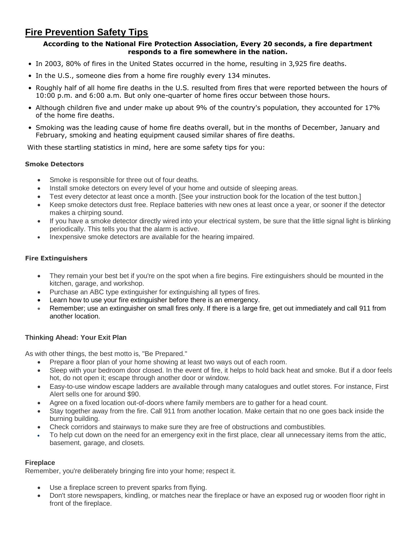# **Fire Prevention Safety Tips**

#### **According to the National Fire Protection Association, Every 20 seconds, a fire department responds to a fire somewhere in the nation.**

- In 2003, 80% of fires in the United States occurred in the home, resulting in 3,925 fire deaths.
- In the U.S., someone dies from a home fire roughly every 134 minutes.
- Roughly half of all home fire deaths in the U.S. resulted from fires that were reported between the hours of 10:00 p.m. and 6:00 a.m. But only one-quarter of home fires occur between those hours.
- Although children five and under make up about 9% of the country's population, they accounted for 17% of the home fire deaths.
- Smoking was the leading cause of home fire deaths overall, but in the months of December, January and February, smoking and heating equipment caused similar shares of fire deaths.

With these startling statistics in mind, here are some safety tips for you:

## **Smoke Detectors**

- Smoke is responsible for three out of four deaths.
- Install smoke detectors on every level of your home and outside of sleeping areas.
- Test every detector at least once a month. [See your instruction book for the location of the test button.]
- Keep smoke detectors dust free. Replace batteries with new ones at least once a year, or sooner if the detector makes a chirping sound.
- If you have a smoke detector directly wired into your electrical system, be sure that the little signal light is blinking periodically. This tells you that the alarm is active.
- Inexpensive smoke detectors are available for the hearing impaired.

## **Fire Extinguishers**

- They remain your best bet if you're on the spot when a fire begins. Fire extinguishers should be mounted in the kitchen, garage, and workshop.
- Purchase an ABC type extinguisher for extinguishing all types of fires.
- Learn how to use your fire extinguisher before there is an emergency.
- Remember; use an extinguisher on small fires only. If there is a large fire, get out immediately and call 911 from another location.

## **Thinking Ahead: Your Exit Plan**

As with other things, the best motto is, "Be Prepared."

- Prepare a floor plan of your home showing at least two ways out of each room.
- Sleep with your bedroom door closed. In the event of fire, it helps to hold back heat and smoke. But if a door feels hot, do not open it; escape through another door or window.
- Easy-to-use window escape ladders are available through many catalogues and outlet stores. For instance, First Alert sells one for around \$90.
- Agree on a fixed location out-of-doors where family members are to gather for a head count.
- Stay together away from the fire. Call 911 from another location. Make certain that no one goes back inside the burning building.
- Check corridors and stairways to make sure they are free of obstructions and combustibles.
- To help cut down on the need for an emergency exit in the first place, clear all unnecessary items from the attic, basement, garage, and closets.

#### **Fireplace**

Remember, you're deliberately bringing fire into your home; respect it.

- Use a fireplace screen to prevent sparks from flying.
- Don't store newspapers, kindling, or matches near the fireplace or have an exposed rug or wooden floor right in front of the fireplace.